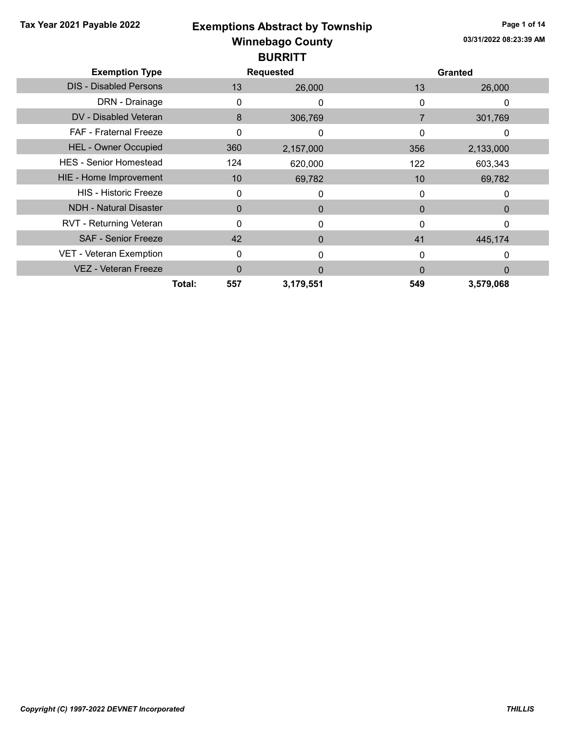|  |  | Tax Year 2021 Payable 2022 |  |
|--|--|----------------------------|--|
|--|--|----------------------------|--|

# Winnebago County Tax Year 2021 Payable 2022 **Exemptions Abstract by Township** Page 1 of 14 **BURRITT**

| PVINNI I                      |               |                  |          |                |  |  |
|-------------------------------|---------------|------------------|----------|----------------|--|--|
| <b>Exemption Type</b>         |               | <b>Requested</b> |          | <b>Granted</b> |  |  |
| <b>DIS - Disabled Persons</b> | 13            | 26,000           | 13       | 26,000         |  |  |
| DRN - Drainage                | 0             | 0                | 0        | 0              |  |  |
| DV - Disabled Veteran         | 8             | 306,769          | 7        | 301,769        |  |  |
| <b>FAF - Fraternal Freeze</b> | 0             | 0                | 0        | 0              |  |  |
| <b>HEL - Owner Occupied</b>   | 360           | 2,157,000        | 356      | 2,133,000      |  |  |
| <b>HES - Senior Homestead</b> | 124           | 620,000          | 122      | 603,343        |  |  |
| HIE - Home Improvement        | 10            | 69,782           | 10       | 69,782         |  |  |
| <b>HIS - Historic Freeze</b>  | 0             | 0                | 0        | 0              |  |  |
| <b>NDH - Natural Disaster</b> | 0             | 0                | 0        | $\Omega$       |  |  |
| RVT - Returning Veteran       | 0             | $\Omega$         | 0        | $\Omega$       |  |  |
| <b>SAF - Senior Freeze</b>    | 42            | $\Omega$         | 41       | 445,174        |  |  |
| VET - Veteran Exemption       | 0             | O                | 0        | 0              |  |  |
| <b>VEZ - Veteran Freeze</b>   | 0             | $\Omega$         | $\Omega$ | $\Omega$       |  |  |
|                               | 557<br>Total: | 3,179,551        | 549      | 3,579,068      |  |  |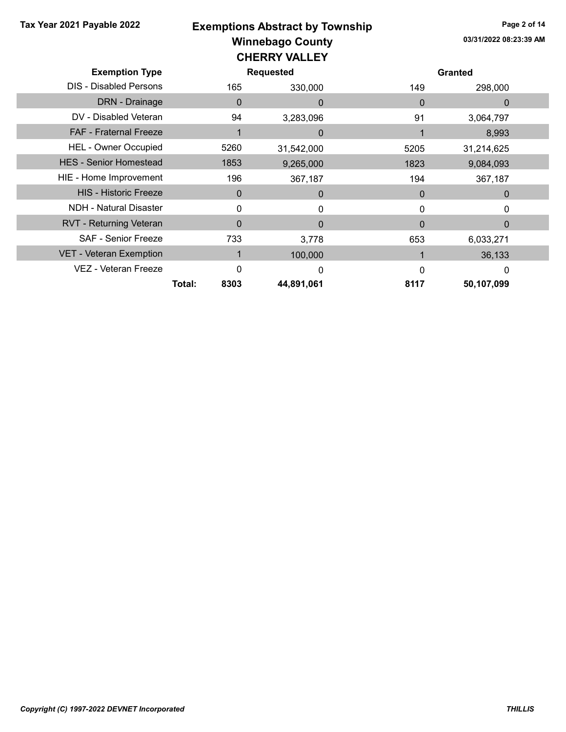### Winnebago County Tax Year 2021 Payable 2022 **Exemptions Abstract by Township** Page 2 of 14 CHERRY VALLEY

| <b>Exemption Type</b>          |                |              | <b>Requested</b> |          | <b>Granted</b> |  |
|--------------------------------|----------------|--------------|------------------|----------|----------------|--|
| <b>DIS - Disabled Persons</b>  |                | 165          | 330,000          | 149      | 298,000        |  |
| DRN - Drainage                 |                | $\mathbf{0}$ | 0                | $\Omega$ | 0              |  |
| DV - Disabled Veteran          |                | 94           | 3,283,096        | 91       | 3,064,797      |  |
| <b>FAF - Fraternal Freeze</b>  |                |              | 0                |          | 8,993          |  |
| <b>HEL - Owner Occupied</b>    |                | 5260         | 31,542,000       | 5205     | 31,214,625     |  |
| <b>HES - Senior Homestead</b>  |                | 1853         | 9,265,000        | 1823     | 9,084,093      |  |
| HIE - Home Improvement         |                | 196          | 367,187          | 194      | 367,187        |  |
| <b>HIS - Historic Freeze</b>   |                | $\mathbf 0$  | $\Omega$         | 0        | 0              |  |
| <b>NDH - Natural Disaster</b>  |                | 0            | $\Omega$         | 0        | 0              |  |
| RVT - Returning Veteran        |                | $\Omega$     | 0                | 0        | 0              |  |
| <b>SAF - Senior Freeze</b>     |                | 733          | 3,778            | 653      | 6,033,271      |  |
| <b>VET - Veteran Exemption</b> |                |              | 100,000          |          | 36,133         |  |
| VEZ - Veteran Freeze           |                | 0            | $\Omega$         | 0        | 0              |  |
|                                | Total:<br>8303 |              | 44,891,061       | 8117     | 50,107,099     |  |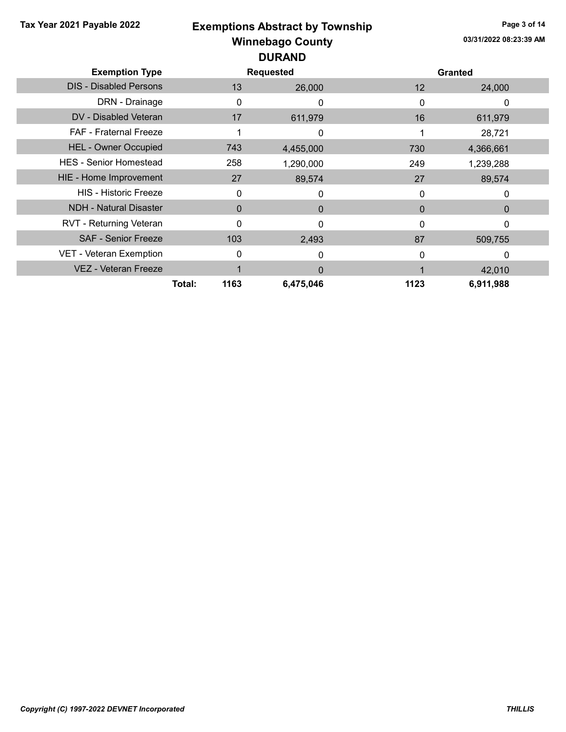## Winnebago County Tax Year 2021 Payable 2022 **Exemptions Abstract by Township** Page 3 of 14 DURAND

| <b>Exemption Type</b>         |                | <b>Requested</b> |              | <b>Granted</b> |  |
|-------------------------------|----------------|------------------|--------------|----------------|--|
| <b>DIS - Disabled Persons</b> | 13             | 26,000           | 12           | 24,000         |  |
| DRN - Drainage                | 0              | 0                | 0            | 0              |  |
| DV - Disabled Veteran         | 17             | 611,979          | 16           | 611,979        |  |
| <b>FAF</b> - Fraternal Freeze |                | 0                |              | 28,721         |  |
| <b>HEL - Owner Occupied</b>   | 743            | 4,455,000        | 730          | 4,366,661      |  |
| <b>HES - Senior Homestead</b> | 258            | 1,290,000        | 249          | 1,239,288      |  |
| HIE - Home Improvement        | 27             | 89,574           | 27           | 89,574         |  |
| <b>HIS - Historic Freeze</b>  | 0              | 0                | 0            | 0              |  |
| <b>NDH - Natural Disaster</b> | $\Omega$       | $\Omega$         | $\mathbf{0}$ | 0              |  |
| RVT - Returning Veteran       | $\Omega$       | $\Omega$         | $\Omega$     | 0              |  |
| <b>SAF - Senior Freeze</b>    | 103            | 2,493            | 87           | 509,755        |  |
| VET - Veteran Exemption       | 0              | 0                | 0            | 0              |  |
| <b>VEZ - Veteran Freeze</b>   |                | 0                |              | 42,010         |  |
|                               | 1163<br>Total: | 6,475,046        | 1123         | 6,911,988      |  |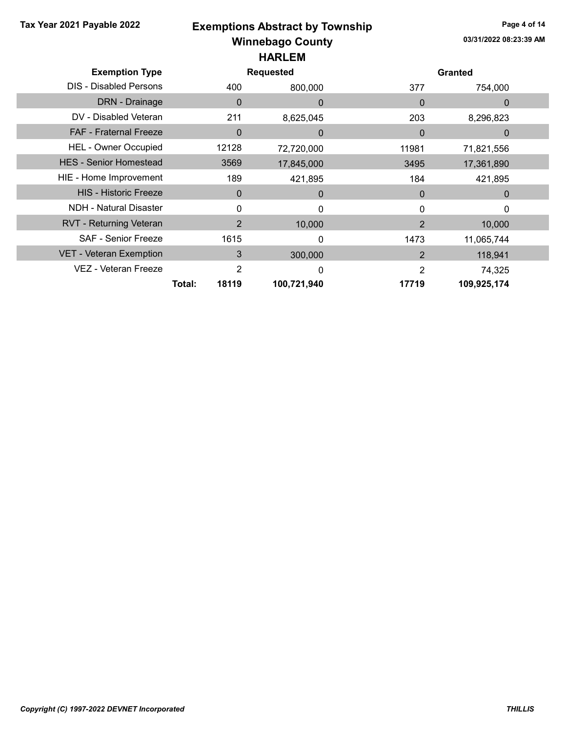#### Winnebago County Tax Year 2021 Payable 2022 **Exemptions Abstract by Township** Page 4 of 14 HARLEM

| <b>Exemption Type</b>          | <b>Requested</b> |                |              | <b>Granted</b> |              |  |
|--------------------------------|------------------|----------------|--------------|----------------|--------------|--|
| <b>DIS - Disabled Persons</b>  |                  | 400            | 800,000      | 377            | 754,000      |  |
| DRN - Drainage                 |                  | 0              | $\Omega$     | $\Omega$       | $\Omega$     |  |
| DV - Disabled Veteran          |                  | 211            | 8,625,045    | 203            | 8,296,823    |  |
| <b>FAF - Fraternal Freeze</b>  |                  | $\Omega$       | $\mathbf{0}$ | $\Omega$       | $\mathbf{0}$ |  |
| <b>HEL - Owner Occupied</b>    |                  | 12128          | 72,720,000   | 11981          | 71,821,556   |  |
| <b>HES - Senior Homestead</b>  |                  | 3569           | 17,845,000   | 3495           | 17,361,890   |  |
| HIE - Home Improvement         |                  | 189            | 421,895      | 184            | 421,895      |  |
| <b>HIS - Historic Freeze</b>   |                  | 0              | $\Omega$     | $\Omega$       | $\Omega$     |  |
| <b>NDH - Natural Disaster</b>  |                  | 0              | 0            |                | 0            |  |
| <b>RVT - Returning Veteran</b> |                  | $\overline{2}$ | 10,000       | $\overline{2}$ | 10,000       |  |
| <b>SAF - Senior Freeze</b>     |                  | 1615           | 0            | 1473           | 11,065,744   |  |
| <b>VET - Veteran Exemption</b> |                  | 3              | 300,000      | $\overline{2}$ | 118,941      |  |
| VEZ - Veteran Freeze           |                  | $\overline{2}$ | 0            | 2              | 74,325       |  |
|                                | Total:           | 18119          | 100,721,940  | 17719          | 109,925,174  |  |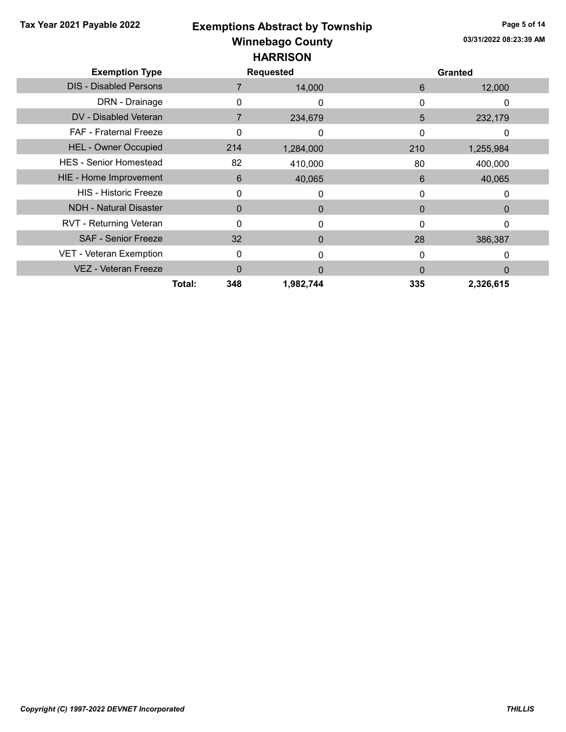| Tax Year 2021 Payable 2022    |               | <b>Exemptions Abstract by Township</b> |          | Page 5 of 14           |  |  |
|-------------------------------|---------------|----------------------------------------|----------|------------------------|--|--|
|                               |               | <b>Winnebago County</b>                |          | 03/31/2022 08:23:39 AM |  |  |
|                               |               | <b>HARRISON</b>                        |          |                        |  |  |
| <b>Exemption Type</b>         |               | <b>Requested</b>                       |          | <b>Granted</b>         |  |  |
| <b>DIS - Disabled Persons</b> | 7             | 14,000                                 | 6        | 12,000                 |  |  |
| DRN - Drainage                | $\Omega$      | 0                                      | 0        | $\Omega$               |  |  |
| DV - Disabled Veteran         | 7             | 234,679                                | 5        | 232,179                |  |  |
| FAF - Fraternal Freeze        | 0             | 0                                      | O        | 0                      |  |  |
| <b>HEL - Owner Occupied</b>   | 214           | 1,284,000                              | 210      | 1,255,984              |  |  |
| <b>HES - Senior Homestead</b> | 82            | 410,000                                | 80       | 400,000                |  |  |
| HIE - Home Improvement        | 6             | 40,065                                 | 6        | 40,065                 |  |  |
| <b>HIS - Historic Freeze</b>  | 0             | 0                                      | 0        | 0                      |  |  |
| <b>NDH - Natural Disaster</b> | $\Omega$      | $\Omega$                               | $\Omega$ | 0                      |  |  |
| RVT - Returning Veteran       | 0             | 0                                      | 0        | $\Omega$               |  |  |
| <b>SAF - Senior Freeze</b>    | 32            | $\Omega$                               | 28       | 386,387                |  |  |
| VET - Veteran Exemption       | $\Omega$      | 0                                      | $\Omega$ | 0                      |  |  |
| <b>VEZ - Veteran Freeze</b>   | $\Omega$      | $\Omega$                               | $\Omega$ | $\Omega$               |  |  |
|                               | Total:<br>348 | 1,982,744                              | 335      | 2,326,615              |  |  |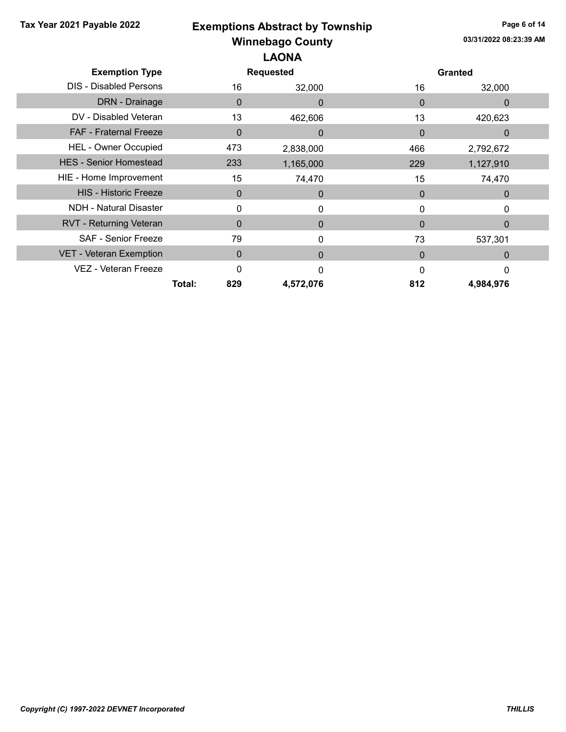| Tax Year 2021 Payable 2022     |               | <b>Exemptions Abstract by Township</b> |              | Page 6 of 14           |  |  |
|--------------------------------|---------------|----------------------------------------|--------------|------------------------|--|--|
|                                |               | <b>Winnebago County</b>                |              | 03/31/2022 08:23:39 AM |  |  |
|                                | <b>LAONA</b>  |                                        |              |                        |  |  |
| <b>Exemption Type</b>          |               | <b>Requested</b>                       |              | <b>Granted</b>         |  |  |
| <b>DIS - Disabled Persons</b>  | 16            | 32,000                                 | 16           | 32,000                 |  |  |
| DRN - Drainage                 | $\Omega$      | $\Omega$                               | $\Omega$     | $\Omega$               |  |  |
| DV - Disabled Veteran          | 13            | 462,606                                | 13           | 420,623                |  |  |
| <b>FAF - Fraternal Freeze</b>  | $\mathbf 0$   | $\Omega$                               | $\mathbf{0}$ | $\mathbf 0$            |  |  |
| <b>HEL - Owner Occupied</b>    | 473           | 2,838,000                              | 466          | 2,792,672              |  |  |
| <b>HES - Senior Homestead</b>  | 233           | 1,165,000                              | 229          | 1,127,910              |  |  |
| HIE - Home Improvement         | 15            | 74,470                                 | 15           | 74,470                 |  |  |
| <b>HIS - Historic Freeze</b>   | 0             | $\mathbf 0$                            | $\mathbf 0$  | $\mathbf 0$            |  |  |
| <b>NDH - Natural Disaster</b>  | 0             | 0                                      | 0            | 0                      |  |  |
| <b>RVT - Returning Veteran</b> | $\Omega$      | $\mathbf 0$                            | $\Omega$     | $\mathbf{0}$           |  |  |
| <b>SAF - Senior Freeze</b>     | 79            | $\mathbf{0}$                           | 73           | 537,301                |  |  |
| VET - Veteran Exemption        | $\mathbf{0}$  | $\mathbf{0}$                           | $\Omega$     | $\Omega$               |  |  |
| VEZ - Veteran Freeze           | $\Omega$      | $\Omega$                               | 0            | 0                      |  |  |
|                                | Total:<br>829 | 4,572,076                              | 812          | 4,984,976              |  |  |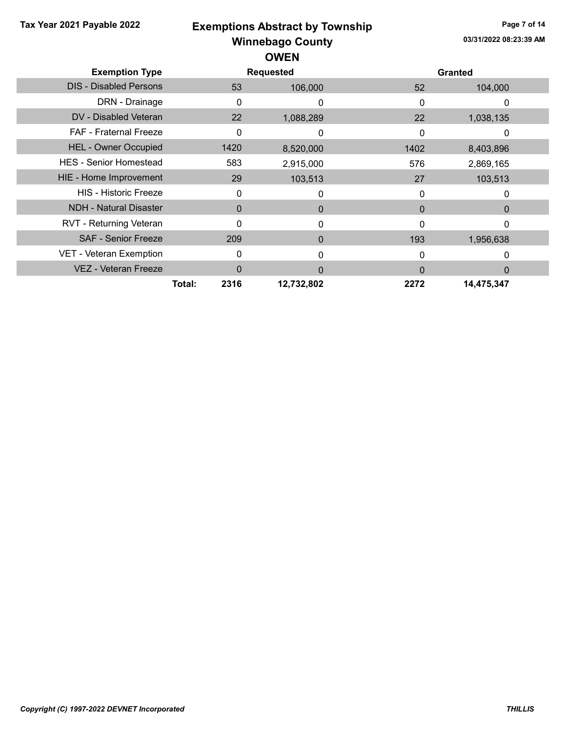| Tax Year 2021 Payable 2022    |                | <b>Exemptions Abstract by Township</b> |              |                        | Page 7 of 14 |  |
|-------------------------------|----------------|----------------------------------------|--------------|------------------------|--------------|--|
|                               |                | <b>Winnebago County</b>                |              | 03/31/2022 08:23:39 AM |              |  |
|                               |                | <b>OWEN</b>                            |              |                        |              |  |
| <b>Exemption Type</b>         |                | <b>Requested</b>                       |              | <b>Granted</b>         |              |  |
| <b>DIS - Disabled Persons</b> | 53             | 106,000                                | 52           | 104,000                |              |  |
| DRN - Drainage                | 0              | 0                                      | 0            | 0                      |              |  |
| DV - Disabled Veteran         | 22             | 1,088,289                              | 22           | 1,038,135              |              |  |
| FAF - Fraternal Freeze        | 0              | 0                                      | 0            | 0                      |              |  |
| <b>HEL - Owner Occupied</b>   | 1420           | 8,520,000                              | 1402         | 8,403,896              |              |  |
| <b>HES - Senior Homestead</b> | 583            | 2,915,000                              | 576          | 2,869,165              |              |  |
| HIE - Home Improvement        | 29             | 103,513                                | 27           | 103,513                |              |  |
| <b>HIS - Historic Freeze</b>  | 0              | 0                                      | $\Omega$     | 0                      |              |  |
| <b>NDH - Natural Disaster</b> | $\Omega$       | $\Omega$                               | $\mathbf{0}$ | $\theta$               |              |  |
| RVT - Returning Veteran       | 0              | $\mathbf{0}$                           | $\Omega$     | $\mathbf{0}$           |              |  |
| <b>SAF - Senior Freeze</b>    | 209            | $\Omega$                               | 193          | 1,956,638              |              |  |
| VET - Veteran Exemption       | 0              | 0                                      | 0            | 0                      |              |  |
| <b>VEZ - Veteran Freeze</b>   | $\Omega$       | $\Omega$                               | $\Omega$     | $\Omega$               |              |  |
|                               | 2316<br>Total: | 12,732,802                             | 2272         | 14,475,347             |              |  |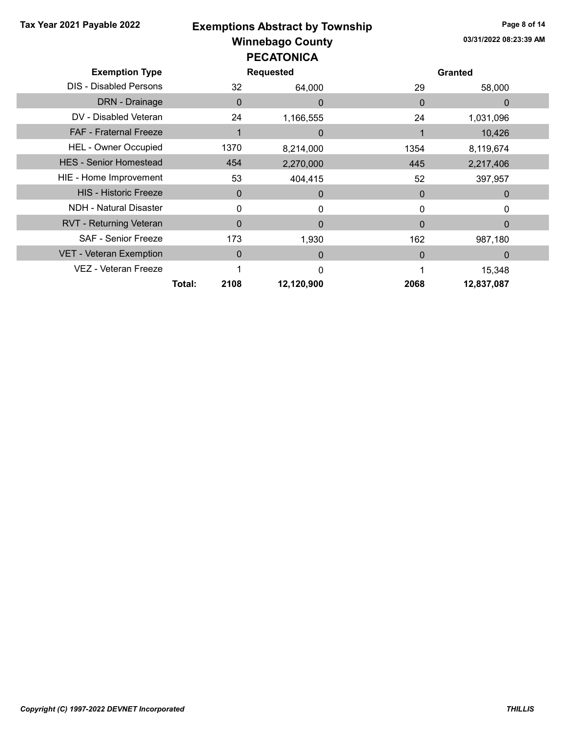| Tax Year 2021 Payable 2022     | <b>Exemptions Abstract by Township</b> |                         |                  |          |                        | Page 8 of 14 |  |
|--------------------------------|----------------------------------------|-------------------------|------------------|----------|------------------------|--------------|--|
|                                |                                        | <b>Winnebago County</b> |                  |          | 03/31/2022 08:23:39 AM |              |  |
|                                |                                        | <b>PECATONICA</b>       |                  |          |                        |              |  |
| <b>Exemption Type</b>          |                                        |                         | <b>Requested</b> |          | <b>Granted</b>         |              |  |
| <b>DIS - Disabled Persons</b>  |                                        | 32                      | 64,000           | 29       | 58,000                 |              |  |
| DRN - Drainage                 |                                        | $\Omega$                | $\Omega$         | $\Omega$ | $\Omega$               |              |  |
| DV - Disabled Veteran          |                                        | 24                      | 1,166,555        | 24       | 1,031,096              |              |  |
| <b>FAF - Fraternal Freeze</b>  |                                        |                         | $\Omega$         |          | 10,426                 |              |  |
| <b>HEL - Owner Occupied</b>    |                                        | 1370                    | 8,214,000        | 1354     | 8,119,674              |              |  |
| <b>HES - Senior Homestead</b>  |                                        | 454                     | 2,270,000        | 445      | 2,217,406              |              |  |
| HIE - Home Improvement         |                                        | 53                      | 404,415          | 52       | 397,957                |              |  |
| <b>HIS - Historic Freeze</b>   |                                        | $\mathbf 0$             | $\mathbf{0}$     | $\Omega$ | $\mathbf{0}$           |              |  |
| <b>NDH - Natural Disaster</b>  |                                        | 0                       | 0                | 0        | 0                      |              |  |
| <b>RVT - Returning Veteran</b> |                                        | $\Omega$                | $\Omega$         | $\Omega$ | $\Omega$               |              |  |
| <b>SAF - Senior Freeze</b>     |                                        | 173                     | 1,930            | 162      | 987,180                |              |  |
| VET - Veteran Exemption        |                                        | $\Omega$                | $\Omega$         | $\Omega$ | $\Omega$               |              |  |
| VEZ - Veteran Freeze           |                                        |                         | $\Omega$         |          | 15,348                 |              |  |
|                                | Total:                                 | 2108                    | 12,120,900       | 2068     | 12,837,087             |              |  |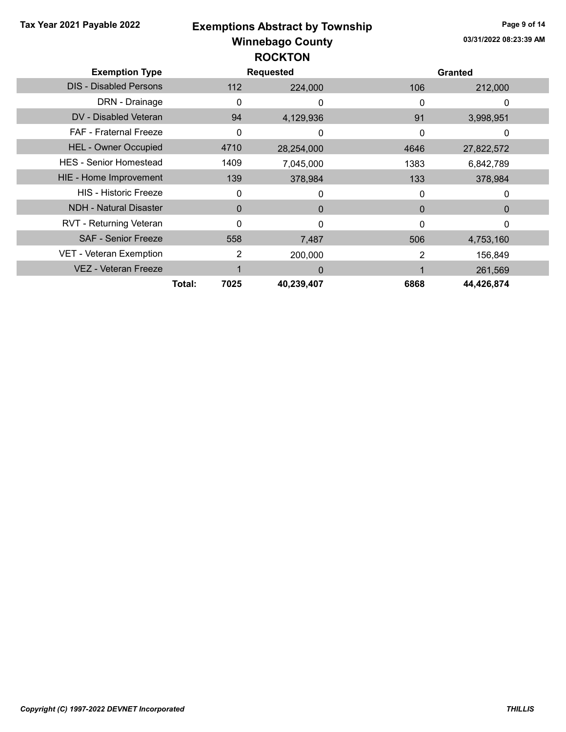Winnebago County Tax Year 2021 Payable 2022 **Exemptions Abstract by Township** Page 9 of 14 03/31/2022 08:23:39 AM Exemption Type **Requested** Requested **Exemption** Type **Requested ROCKTON** DIS - Disabled Persons 112 224,000 106 212,000 DRN - Drainage 0 0 0 0 DV - Disabled Veteran 3,998,951 FAF - Fraternal Freeze 0 0 0 0 HEL - Owner Occupied 4710 28,254,000 4646 27,822,572 HES - Senior Homestead 1409 1409 7,045,000 1383 6,842,789 HIE - Home Improvement 139 139 378,984 133 378,984 HIS - Historic Freeze 0 0 0 0 NDH - Natural Disaster 0 0 0 0 RVT - Returning Veteran and the control of the control of the control of the control of the control of the control of the control of the control of the control of the control of the control of the control of the control of SAF - Senior Freeze 558 558 7,487 506 4,753,160 VET - Veteran Exemption 2 200,000 2 156,849 VEZ - Veteran Freeze 1 1 0 1 261,569 Total: 7025 40,239,407 6868 44,426,874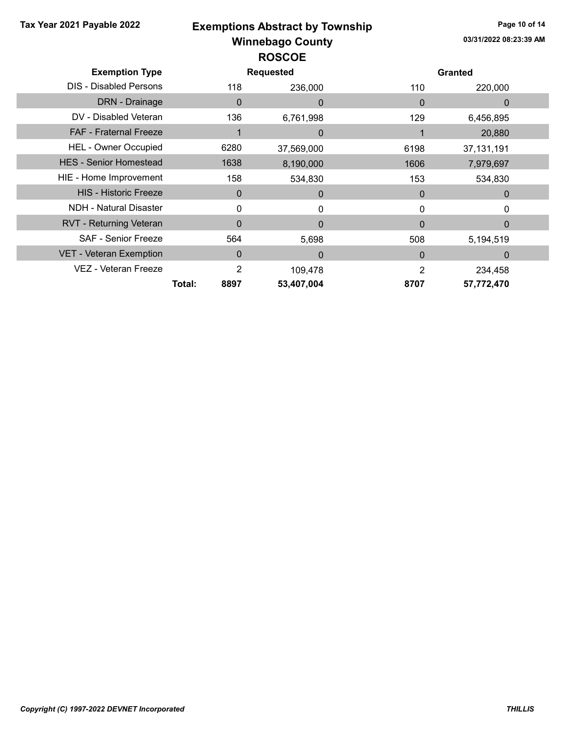| Tax Year 2021 Payable 2022     |                | <b>Exemptions Abstract by Township</b> |                  |                |                        | Page 10 of 14 |  |
|--------------------------------|----------------|----------------------------------------|------------------|----------------|------------------------|---------------|--|
|                                |                | <b>Winnebago County</b>                |                  |                | 03/31/2022 08:23:39 AM |               |  |
|                                |                | <b>ROSCOE</b>                          |                  |                |                        |               |  |
| <b>Exemption Type</b>          |                |                                        | <b>Requested</b> |                | <b>Granted</b>         |               |  |
| <b>DIS - Disabled Persons</b>  |                | 118                                    | 236,000          | 110            | 220,000                |               |  |
| <b>DRN</b> - Drainage          |                | $\mathbf 0$                            | $\mathbf{0}$     | $\Omega$       | $\mathbf{0}$           |               |  |
| DV - Disabled Veteran          |                | 136                                    | 6,761,998        | 129            | 6,456,895              |               |  |
| FAF - Fraternal Freeze         |                |                                        | $\mathbf{0}$     |                | 20,880                 |               |  |
| <b>HEL - Owner Occupied</b>    | 6280           |                                        | 37,569,000       | 6198           | 37, 131, 191           |               |  |
| <b>HES - Senior Homestead</b>  | 1638           |                                        | 8,190,000        | 1606           | 7,979,697              |               |  |
| HIE - Home Improvement         |                | 158                                    | 534,830          | 153            | 534,830                |               |  |
| <b>HIS - Historic Freeze</b>   |                | $\mathbf 0$                            | $\mathbf{0}$     | $\mathbf{0}$   | $\mathbf{0}$           |               |  |
| <b>NDH - Natural Disaster</b>  |                | $\Omega$                               | $\mathbf{0}$     | 0              | 0                      |               |  |
| <b>RVT - Returning Veteran</b> |                | $\Omega$                               | $\mathbf{0}$     | $\mathbf{0}$   | $\Omega$               |               |  |
| <b>SAF - Senior Freeze</b>     |                | 564                                    | 5,698            | 508            | 5,194,519              |               |  |
| <b>VET - Veteran Exemption</b> |                | $\Omega$                               | $\Omega$         | $\Omega$       | $\Omega$               |               |  |
| VEZ - Veteran Freeze           |                | $\overline{2}$                         | 109,478          | $\overline{2}$ | 234,458                |               |  |
|                                | 8897<br>Total: |                                        | 53,407,004       | 8707           | 57,772,470             |               |  |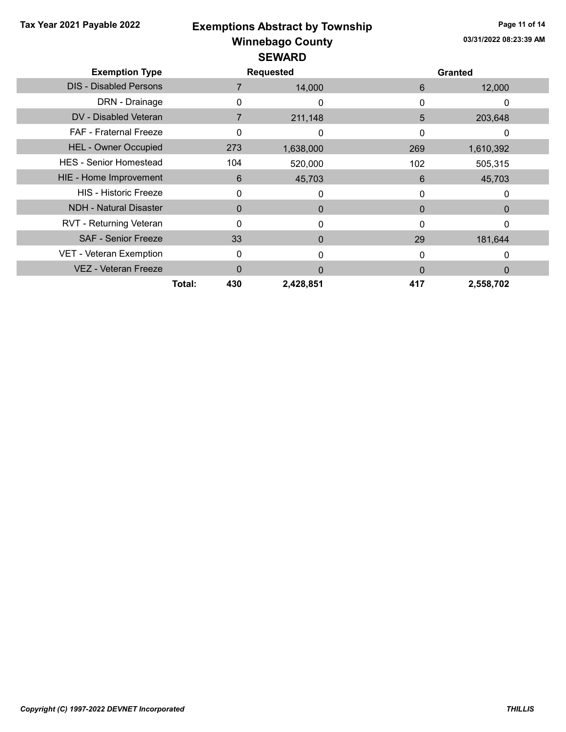|  |  |  | Tax Year 2021 Payable 2022 |  |
|--|--|--|----------------------------|--|
|--|--|--|----------------------------|--|

# Winnebago County Tax Year 2021 Payable 2022 **Exemptions Abstract by Township** Page 11 of 14 SEWARD

| <b>Exemption Type</b>         | <b>Requested</b> |           |          | <b>Granted</b> |  |
|-------------------------------|------------------|-----------|----------|----------------|--|
| <b>DIS - Disabled Persons</b> |                  | 14,000    | 6        | 12,000         |  |
| DRN - Drainage                |                  | 0         | 0        | 0              |  |
| DV - Disabled Veteran         |                  | 211,148   | 5        | 203,648        |  |
| <b>FAF - Fraternal Freeze</b> | 0                | 0         | 0        | 0              |  |
| <b>HEL - Owner Occupied</b>   | 273              | 1,638,000 | 269      | 1,610,392      |  |
| <b>HES - Senior Homestead</b> | 104              | 520,000   | 102      | 505,315        |  |
| HIE - Home Improvement        | 6                | 45,703    | 6        | 45,703         |  |
| <b>HIS - Historic Freeze</b>  | $\Omega$         | 0         | 0        | 0              |  |
| <b>NDH - Natural Disaster</b> | $\Omega$         | $\Omega$  | $\Omega$ | 0              |  |
| RVT - Returning Veteran       | $\Omega$         | $\Omega$  | $\Omega$ | 0              |  |
| <b>SAF - Senior Freeze</b>    | 33               | $\Omega$  | 29       | 181,644        |  |
| VET - Veteran Exemption       | 0                | ი         | $\Omega$ |                |  |
| <b>VEZ - Veteran Freeze</b>   | $\Omega$         | $\Omega$  | $\Omega$ | 0              |  |
|                               | Total:<br>430    | 2,428,851 | 417      | 2,558,702      |  |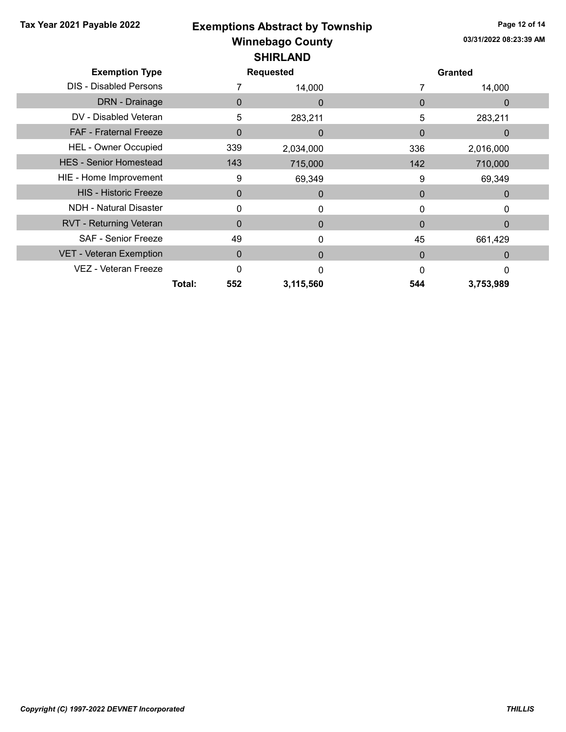| Tax Year 2021 Payable 2022    |               | <b>Exemptions Abstract by Township</b> |              | Page 12 of 14          |  |  |
|-------------------------------|---------------|----------------------------------------|--------------|------------------------|--|--|
|                               |               | <b>Winnebago County</b>                |              | 03/31/2022 08:23:39 AM |  |  |
|                               |               |                                        |              |                        |  |  |
| <b>Exemption Type</b>         |               | <b>Requested</b>                       |              | <b>Granted</b>         |  |  |
| <b>DIS - Disabled Persons</b> |               | 14,000                                 |              | 14,000                 |  |  |
| DRN - Drainage                | $\Omega$      | $\Omega$                               | $\Omega$     | $\Omega$               |  |  |
| DV - Disabled Veteran         | 5             | 283,211                                | 5            | 283,211                |  |  |
| <b>FAF - Fraternal Freeze</b> | $\mathbf 0$   | $\mathbf{0}$                           | $\Omega$     | $\mathbf 0$            |  |  |
| <b>HEL - Owner Occupied</b>   | 339           | 2,034,000                              | 336          | 2,016,000              |  |  |
| <b>HES - Senior Homestead</b> | 143           | 715,000                                | 142          | 710,000                |  |  |
| HIE - Home Improvement        | 9             | 69,349                                 | 9            | 69,349                 |  |  |
| <b>HIS - Historic Freeze</b>  | $\mathbf{0}$  | $\mathbf{0}$                           | $\mathbf{0}$ | $\mathbf 0$            |  |  |
| <b>NDH - Natural Disaster</b> | 0             | 0                                      | 0            | 0                      |  |  |
| RVT - Returning Veteran       | $\mathbf{0}$  | $\mathbf{0}$                           | $\Omega$     | 0                      |  |  |
| <b>SAF - Senior Freeze</b>    | 49            | 0                                      | 45           | 661,429                |  |  |
| VET - Veteran Exemption       | $\Omega$      | $\Omega$                               | $\Omega$     | $\Omega$               |  |  |
| VEZ - Veteran Freeze          | $\Omega$      | $\Omega$                               | $\Omega$     | 0                      |  |  |
|                               | 552<br>Total: | 3,115,560                              | 544          | 3,753,989              |  |  |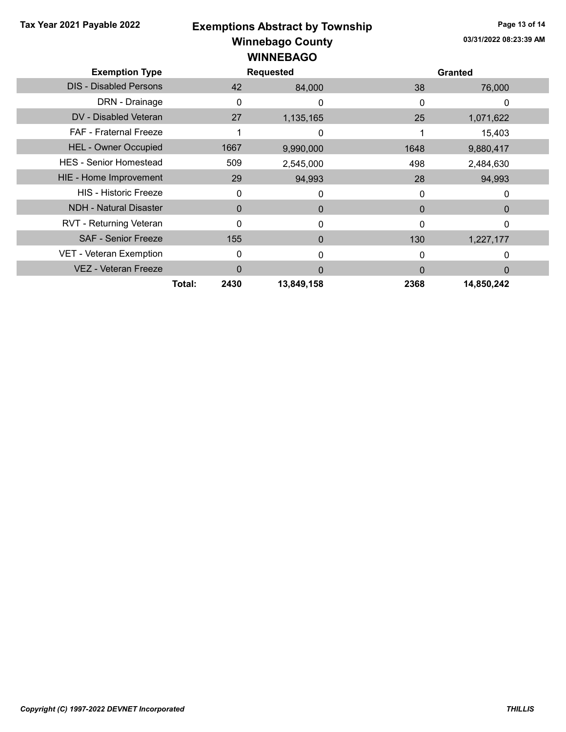|  |  |  | Tax Year 2021 Payable 2022 |  |
|--|--|--|----------------------------|--|
|--|--|--|----------------------------|--|

# Winnebago County Tax Year 2021 Payable 2022 **Exemptions Abstract by Township** Page 13 of 14 WINNEBAGO

| <b>Exemption Type</b>         | <b>Requested</b> |            |          | <b>Granted</b> |  |  |
|-------------------------------|------------------|------------|----------|----------------|--|--|
| <b>DIS - Disabled Persons</b> | 42               | 84,000     | 38       | 76,000         |  |  |
| DRN - Drainage                | 0                |            | 0        | 0              |  |  |
| DV - Disabled Veteran         | 27               | 1,135,165  | 25       | 1,071,622      |  |  |
| <b>FAF</b> - Fraternal Freeze |                  | 0          |          | 15,403         |  |  |
| <b>HEL - Owner Occupied</b>   | 1667             | 9,990,000  | 1648     | 9,880,417      |  |  |
| <b>HES - Senior Homestead</b> | 509              | 2,545,000  | 498      | 2,484,630      |  |  |
| HIE - Home Improvement        | 29               | 94,993     | 28       | 94,993         |  |  |
| <b>HIS - Historic Freeze</b>  | 0                |            | 0        |                |  |  |
| <b>NDH - Natural Disaster</b> | $\mathbf{0}$     | $\Omega$   | $\Omega$ | $\Omega$       |  |  |
| RVT - Returning Veteran       | 0                | 0          | 0        | $\Omega$       |  |  |
| <b>SAF - Senior Freeze</b>    | 155              | $\Omega$   | 130      | 1,227,177      |  |  |
| VET - Veteran Exemption       | 0                |            | 0        | $\Omega$       |  |  |
| VEZ - Veteran Freeze          | 0                | $\Omega$   | 0        | $\Omega$       |  |  |
|                               | Total:<br>2430   | 13,849,158 | 2368     | 14,850,242     |  |  |